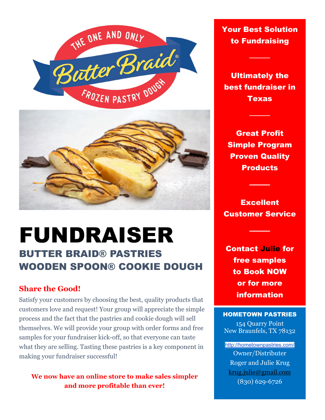



# FUNDRAISER BUTTER BRAID® PASTRIES

WOODEN SPOON® COOKIE DOUGH

# **Share the Good!**

Satisfy your customers by choosing the best, quality products that customers love and request! Your group will appreciate the simple process and the fact that the pastries and cookie dough will sell themselves. We will provide your group with order forms and free samples for your fundraiser kick-off, so that everyone can taste what they are selling. Tasting these pastries is a key component in making your fundraiser successful!

**We now have an online store to make sales simpler and more profitable than ever!** 

Your Best Solution to Fundraising

Ultimately the best fundraiser in **Texas** 

Great Profit Simple Program Proven Quality **Products** 

Excellent Customer Service

Contact Julie for free samples to Book NOW or for more information

#### HOMETOWN PASTRIES

154 Quarry Point New Braunfels, TX 78132

<http://hometownpastries.com/> Owner/Distributer Roger and Julie Krug [krug.julie@gmail.com](mailto:rkrug@satx.rr.com) (830) 629-6726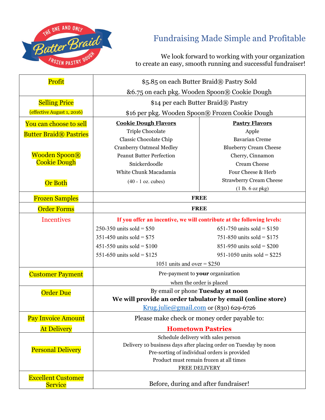

# Fundraising Made Simple and Profitable

 We look forward to working with your organization to create an easy, smooth running and successful fundraiser!

| <b>At Delivery</b>            | <b>Hometown Pastries</b><br>Schedule delivery with sales person                                 |                                |
|-------------------------------|-------------------------------------------------------------------------------------------------|--------------------------------|
| <b>Pay Invoice Amount</b>     | Please make check or money order payable to:                                                    |                                |
|                               | Krug.julie@gmail.com or (830) 629-6726                                                          |                                |
| <b>Order Due</b>              | By email or phone Tuesday at noon<br>We will provide an order tabulator by email (online store) |                                |
|                               | when the order is placed                                                                        |                                |
| <b>Customer Payment</b>       | Pre-payment to your organization                                                                |                                |
|                               | 1051 units and over $= $250$                                                                    |                                |
|                               | 551-650 units sold = $$125$                                                                     | 951-1050 units sold = $$225$   |
|                               | 451-550 units sold = $$100$                                                                     | 851-950 units sold = $$200$    |
|                               | 351-450 units sold = $$75$                                                                      | 751-850 units sold = $$175$    |
|                               | 250-350 units sold = $$50$                                                                      | 651-750 units sold = $$150$    |
| <b>Incentives</b>             | If you offer an incentive, we will contribute at the following levels:                          |                                |
| <b>Order Forms</b>            | <b>FREE</b>                                                                                     |                                |
| <b>Frozen Samples</b>         | <b>FREE</b>                                                                                     |                                |
|                               |                                                                                                 | (1 lb. 6 oz pk)                |
| <b>Or Both</b>                | $(40 - 1)$ oz. cubes)                                                                           | <b>Strawberry Cream Cheese</b> |
|                               | White Chunk Macadamia                                                                           | Four Cheese & Herb             |
| <b>Cookie Dough</b>           | Snickerdoodle                                                                                   | <b>Cream Cheese</b>            |
| <b>Wooden Spoon®</b>          | <b>Peanut Butter Perfection</b>                                                                 | Cherry, Cinnamon               |
|                               | <b>Cranberry Oatmeal Medley</b>                                                                 | <b>Blueberry Cream Cheese</b>  |
| <b>Butter Braid® Pastries</b> | Classic Chocolate Chip                                                                          | <b>Bavarian Creme</b>          |
|                               | Triple Chocolate                                                                                | Apple                          |
| You can choose to sell        | <b>Cookie Dough Flavors</b>                                                                     | <b>Pastry Flavors</b>          |
| (effective August 1, 2016)    | \$16 per pkg. Wooden Spoon® Frozen Cookie Dough                                                 |                                |
| <b>Selling Price</b>          | \$14 per each Butter Braid® Pastry                                                              |                                |
|                               | &6.75 on each pkg. Wooden Spoon® Cookie Dough                                                   |                                |
| Profit                        | \$5.85 on each Butter Braid® Pastry Sold                                                        |                                |
|                               |                                                                                                 |                                |